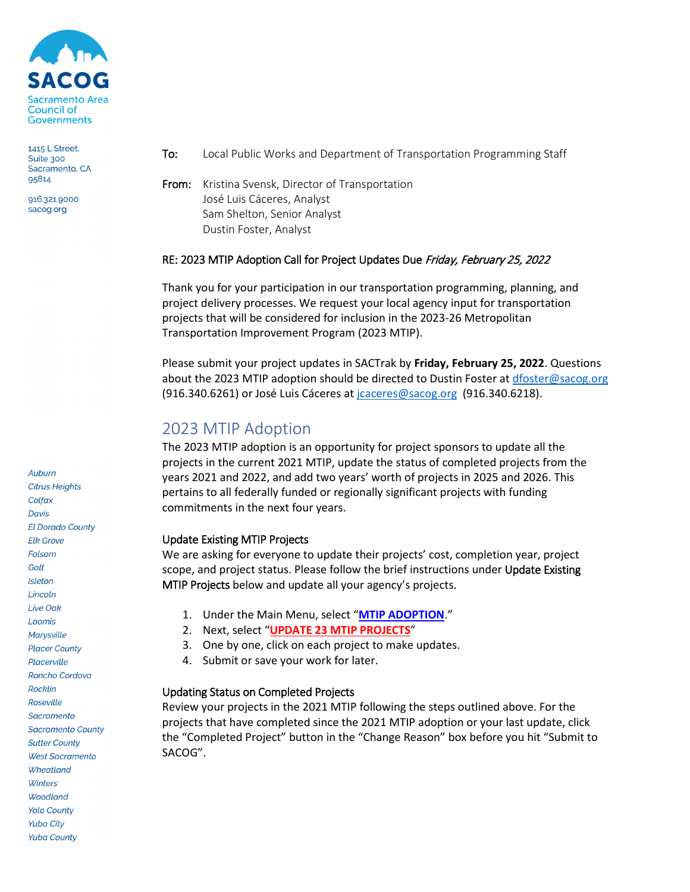

1415 L Street, Suite 300 Sacramento, CA 95814

916.321.9000 sacog.org

- To: Local Public Works and Department of Transportation Programming Staff
- From: Kristina Svensk, Director of Transportation José Luis Cáceres, Analyst Sam Shelton, Senior Analyst Dustin Foster, Analyst

### RE: 2023 MTIP Adoption Call for Project Updates Due Friday, February 25, 2022

Thank you for your participation in our transportation programming, planning, and project delivery processes. We request your local agency input for transportation projects that will be considered for inclusion in the 2023-26 Metropolitan Transportation Improvement Program (2023 MTIP).

Please submit your project updates in SACTrak by **Friday, February 25, 2022**. Questions about the 2023 MTIP adoption should be directed to Dustin Foster at [dfoster@sacog.org](mailto:dfoster@sacog.org) (916.340.6261) or José Luis Cáceres at [jcaceres@sacog.org](mailto:jcaceres@sacog.org) (916.340.6218).

## 2023 MTIP Adoption

The 2023 MTIP adoption is an opportunity for project sponsors to update all the projects in the current 2021 MTIP, update the status of completed projects from the years 2021 and 2022, and add two years' worth of projects in 2025 and 2026. This pertains to all federally funded or regionally significant projects with funding commitments in the next four years.

#### Update Existing MTIP Projects

We are asking for everyone to update their projects' cost, completion year, project scope, and project status. Please follow the brief instructions under Update Existing MTIP Projects below and update all your agency's projects.

- 1. Under the Main Menu, select "**[MTIP ADOPTION](https://sactrak.sacog.org/xtip_adopt_menu.asp)**."
- 2. Next, select "**[UPDATE 23 MTIP PROJECTS](https://sactrak.sacog.org/carry_over.asp?status=ALL)**"
- 3. One by one, click on each project to make updates.
- 4. Submit or save your work for later.

## Updating Status on Completed Projects

Review your projects in the 2021 MTIP following the steps outlined above. For the projects that have completed since the 2021 MTIP adoption or your last update, click the "Completed Project" button in the "Change Reason" box before you hit "Submit to SACOG".

**Citrus Heights** Colfax **Davis El Dorado County Elk Grove** Folsom Galt Isleton Lincoln Live Oak Loomis Marysville **Placer County** Placerville Rancho Cordova Rocklin Roseville Sacramento **Sacramento County Sutter County West Sacramento** Wheatland Winters **Woodland** 

**Yolo County Yuba City Yuba County** 

Auburn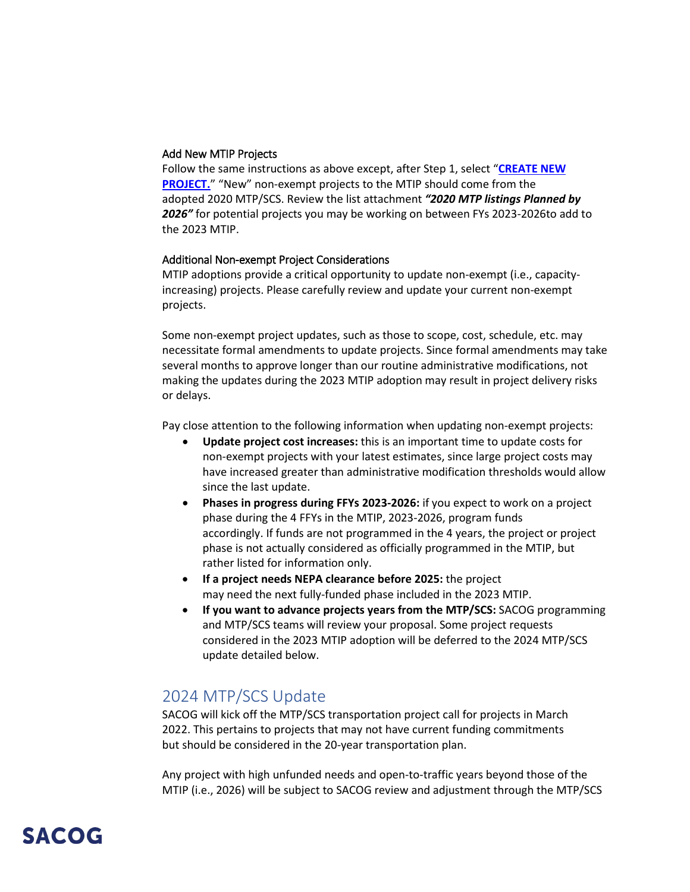#### Add New MTIP Projects

Follow the same instructions as above except, after Step 1, select "**[CREATE NEW](https://sactrak.sacog.org/new_project.asp?cmd=newprojectform&project_type=MTIP&initialdoc=True)  [PROJECT.](https://sactrak.sacog.org/new_project.asp?cmd=newprojectform&project_type=MTIP&initialdoc=True)**" "New" non-exempt projects to the MTIP should come from the adopted 2020 MTP/SCS. Review the list attachment *"2020 MTP listings Planned by 2026"* for potential projects you may be working on between FYs 2023-2026to add to the 2023 MTIP.

#### Additional Non-exempt Project Considerations

MTIP adoptions provide a critical opportunity to update non-exempt (i.e., capacityincreasing) projects. Please carefully review and update your current non-exempt projects.

Some non-exempt project updates, such as those to scope, cost, schedule, etc. may necessitate formal amendments to update projects. Since formal amendments may take several months to approve longer than our routine administrative modifications, not making the updates during the 2023 MTIP adoption may result in project delivery risks or delays.

Pay close attention to the following information when updating non-exempt projects:

- **Update project cost increases:** this is an important time to update costs for non-exempt projects with your latest estimates, since large project costs may have increased greater than administrative modification thresholds would allow since the last update.
- **Phases in progress during FFYs 2023-2026:** if you expect to work on a project phase during the 4 FFYs in the MTIP, 2023-2026, program funds accordingly. If funds are not programmed in the 4 years, the project or project phase is not actually considered as officially programmed in the MTIP, but rather listed for information only.
- **If a project needs NEPA clearance before 2025:** the project may need the next fully-funded phase included in the 2023 MTIP.
- **If you want to advance projects years from the MTP/SCS:** SACOG programming and MTP/SCS teams will review your proposal. Some project requests considered in the 2023 MTIP adoption will be deferred to the 2024 MTP/SCS update detailed below.

## 2024 MTP/SCS Update

SACOG will kick off the MTP/SCS transportation project call for projects in March 2022. This pertains to projects that may not have current funding commitments but should be considered in the 20-year transportation plan.

Any project with high unfunded needs and open-to-traffic years beyond those of the MTIP (i.e., 2026) will be subject to SACOG review and adjustment through the MTP/SCS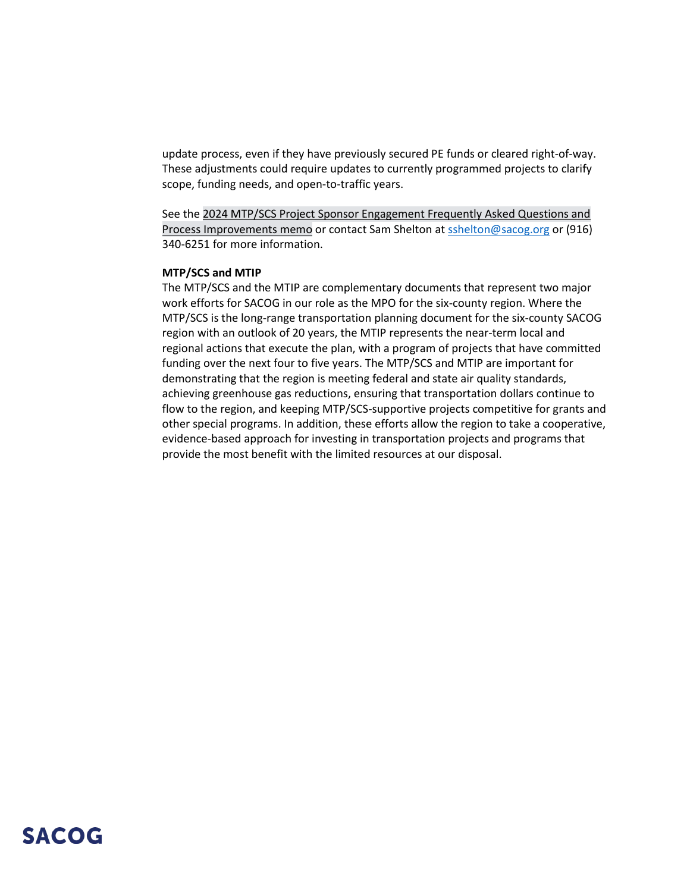update process, even if they have previously secured PE funds or cleared right-of-way. These adjustments could require updates to currently programmed projects to clarify scope, funding needs, and open-to-traffic years. 

See the [2024 MTP/SCS Project Sponsor Engagement Frequently Asked Questions and](https://sacog.primegov.com/meeting/attachment/3004.pdf?name=Attachment%20C)  [Process Improvements memo](https://sacog.primegov.com/meeting/attachment/3004.pdf?name=Attachment%20C) or contact Sam Shelton a[t sshelton@sacog.org](mailto:sshelton@sacog.org) or (916) 340-6251 for more information.

#### **MTP/SCS and MTIP**

The MTP/SCS and the MTIP are complementary documents that represent two major work efforts for SACOG in our role as the MPO for the six-county region. Where the MTP/SCS is the long-range transportation planning document for the six-county SACOG region with an outlook of 20 years, the MTIP represents the near-term local and regional actions that execute the plan, with a program of projects that have committed funding over the next four to five years. The MTP/SCS and MTIP are important for demonstrating that the region is meeting federal and state air quality standards, achieving greenhouse gas reductions, ensuring that transportation dollars continue to flow to the region, and keeping MTP/SCS-supportive projects competitive for grants and other special programs. In addition, these efforts allow the region to take a cooperative, evidence-based approach for investing in transportation projects and programs that provide the most benefit with the limited resources at our disposal.

## **SACOG**